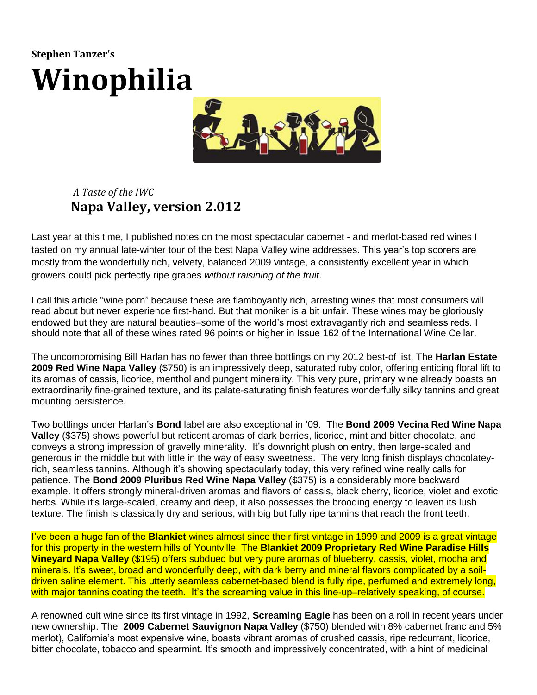## **Stephen Tanzer's Winophilia**



 *A Taste of the IWC* **Napa Valley, version 2.012**

Last year at this time, I published notes on the most spectacular cabernet - and merlot-based red wines I tasted on my annual late-winter tour of the best [Napa Valley](http://winetopics.winophilia.com/topic/Napa-Valley) wine addresses. This year's top scorers are mostly from the wonderfully rich, velvety, balanced 2009 vintage, a consistently excellent year in which growers could pick perfectly ripe grapes *without raisining of the fruit*.

I call this article "wine porn" because these are flamboyantly rich, arresting wines that most consumers will read about but never experience first-hand. But that moniker is a bit unfair. These wines may be gloriously endowed but they are natural beauties–some of the world's most extravagantly rich and seamless reds. I should note that all of these wines rated 96 points or higher in Issue 162 of the [International Wine Cellar.](http://www.wineaccess.com/expert/tanzer/subscribe.html)

The uncompromising Bill Harlan has no fewer than three bottlings on my 2012 best-of list. The **[Harlan Estate](http://winetopics.winophilia.com/topic/Harlan-Estate) 2009 Red Wine [Napa](http://winetopics.winophilia.com/topic/Napa%2C-CA) Valley** (\$750) is an impressively deep, saturated ruby color, offering enticing floral lift to its aromas of cassis, licorice, menthol and pungent minerality. This very pure, primary wine already boasts an extraordinarily fine-grained texture, and its palate-saturating finish features wonderfully silky tannins and great mounting persistence.

Two bottlings under Harlan's **Bond** label are also exceptional in '09. The **Bond 2009 Vecina Red Wine Napa Valley** (\$375) shows powerful but reticent aromas of dark berries, licorice, mint and bitter chocolate, and conveys a strong impression of gravelly minerality. It's downright plush on entry, then large-scaled and generous in the middle but with little in the way of easy sweetness. The very long finish displays chocolateyrich, seamless tannins. Although it's showing spectacularly today, this very refined wine really calls for patience. The **Bond 2009 Pluribus Red Wine Napa Valley** (\$375) is a considerably more backward example. It offers strongly mineral-driven aromas and flavors of cassis, black cherry, licorice, violet and exotic herbs. While it's large-scaled, creamy and deep, it also possesses the brooding energy to leaven its lush texture. The finish is classically dry and serious, with big but fully ripe tannins that reach the front teeth.

I've been a huge fan of the **Blankiet** wines almost since their first vintage in 1999 and 2009 is a great vintage for this property in the western hills of Yountville. The **Blankiet 2009 Proprietary Red Wine Paradise Hills Vineyard Napa Valley** (\$195) offers subdued but very pure aromas of blueberry, cassis, violet, mocha and minerals. It's sweet, broad and wonderfully deep, with dark berry and mineral flavors complicated by a soildriven saline element. This utterly seamless cabernet-based blend is fully ripe, perfumed and extremely long, with major tannins coating the teeth. It's the screaming value in this line-up–relatively speaking, of course.

A renowned cult wine since its first vintage in 1992, **Screaming Eagle** has been on a roll in recent years under new ownership. The **2009 [Cabernet Sauvignon](http://winetopics.winophilia.com/topic/Cabernet-Sauvignon) Napa Valley** (\$750) blended with 8% [cabernet franc](http://winetopics.winophilia.com/topic/Cabernet-Franc) and 5% merlot), California's most expensive wine, boasts vibrant aromas of crushed cassis, ripe redcurrant, licorice, bitter chocolate, tobacco and spearmint. It's smooth and impressively concentrated, with a hint of medicinal